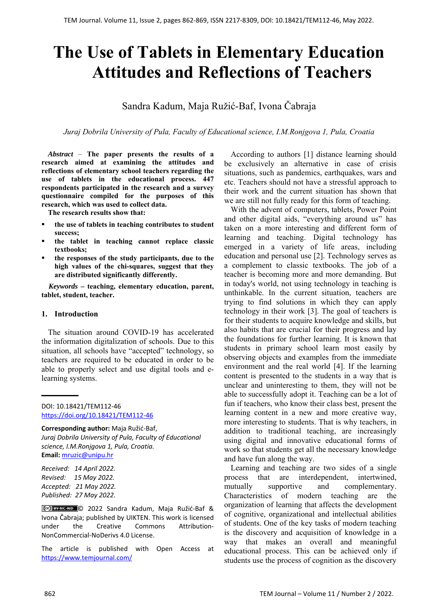# **The Use of Tablets in Elementary Education Attitudes and Reflections of Teachers**

Sandra Kadum, Maja Ružić-Baf, Ivona Čabraja

*Juraj Dobrila University of Pula, Faculty of Educational science, I.M.Ronjgova 1, Pula, Croatia* 

*Abstract –* **The paper presents the results of a research aimed at examining the attitudes and reflections of elementary school teachers regarding the use of tablets in the educational process. 447 respondents participated in the research and a survey questionnaire compiled for the purposes of this research, which was used to collect data.** 

**The research results show that:** 

- **the use of tablets in teaching contributes to student success;**
- **the tablet in teaching cannot replace classic textbooks;**
- **the responses of the study participants, due to the high values of the chi-squares, suggest that they are distributed significantly differently.**

*Keywords –* **teaching, elementary education, parent, tablet, student, teacher.** 

#### **1. Introduction**

The situation around COVID-19 has accelerated the information digitalization of schools. Due to this situation, all schools have "accepted" technology, so teachers are required to be educated in order to be able to properly select and use digital tools and elearning systems.

DOI: 10.18421/TEM112-46 [https://doi.org/10.18421/TEM112](https://doi.org/10.18421/TEM112-46)-46

**Corresponding author:** Maja Ružić‐Baf,

*Juraj Dobrila University of Pula, Faculty of Educational science, I.M.Ronjgova 1, Pula, Croatia.*  **Email:** mruzic@unipu.hr

*Received: 14 April 2022. Revised: 15 May 2022. Accepted: 21 May 2022. Published: 27 May 2022.* 

© 2022 Sandra Kadum, Maja Ružić‐Baf & Ivona Čabraja; published by UIKTEN. This work is licensed under the Creative Commons Attribution-NonCommercial‐NoDerivs 4.0 License.

The article is published with Open Access at https://www.temjournal.com/

According to authors [1] distance learning should be exclusively an alternative in case of crisis situations, such as pandemics, earthquakes, wars and etc. Teachers should not have a stressful approach to their work and the current situation has shown that we are still not fully ready for this form of teaching.

With the advent of computers, tablets, Power Point and other digital aids, "everything around us" has taken on a more interesting and different form of learning and teaching. Digital technology has emerged in a variety of life areas, including education and personal use [2]. Technology serves as a complement to classic textbooks. The job of a teacher is becoming more and more demanding. But in today's world, not using technology in teaching is unthinkable. In the current situation, teachers are trying to find solutions in which they can apply technology in their work [3]. The goal of teachers is for their students to acquire knowledge and skills, but also habits that are crucial for their progress and lay the foundations for further learning. It is known that students in primary school learn most easily by observing objects and examples from the immediate environment and the real world [4]. If the learning content is presented to the students in a way that is unclear and uninteresting to them, they will not be able to successfully adopt it. Teaching can be a lot of fun if teachers, who know their class best, present the learning content in a new and more creative way, more interesting to students. That is why teachers, in addition to traditional teaching, are increasingly using digital and innovative educational forms of work so that students get all the necessary knowledge and have fun along the way.

Learning and teaching are two sides of a single process that are interdependent, intertwined, mutually supportive and complementary. Characteristics of modern teaching are the organization of learning that affects the development of cognitive, organizational and intellectual abilities of students. One of the key tasks of modern teaching is the discovery and acquisition of knowledge in a way that makes an overall and meaningful educational process. This can be achieved only if students use the process of cognition as the discovery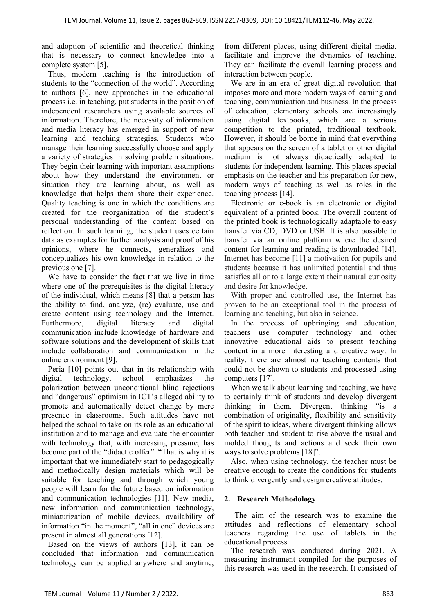and adoption of scientific and theoretical thinking that is necessary to connect knowledge into a complete system [5].

Thus, modern teaching is the introduction of students to the "connection of the world". According to authors [6], new approaches in the educational process i.e. in teaching, put students in the position of independent researchers using available sources of information. Therefore, the necessity of information and media literacy has emerged in support of new learning and teaching strategies. Students who manage their learning successfully choose and apply a variety of strategies in solving problem situations. They begin their learning with important assumptions about how they understand the environment or situation they are learning about, as well as knowledge that helps them share their experience. Quality teaching is one in which the conditions are created for the reorganization of the student's personal understanding of the content based on reflection. In such learning, the student uses certain data as examples for further analysis and proof of his opinions, where he connects, generalizes and conceptualizes his own knowledge in relation to the previous one [7].

We have to consider the fact that we live in time where one of the prerequisites is the digital literacy of the individual, which means [8] that a person has the ability to find, analyze, (re) evaluate, use and create content using technology and the Internet. Furthermore, digital literacy and digital communication include knowledge of hardware and software solutions and the development of skills that include collaboration and communication in the online environment [9].

Peria [10] points out that in its relationship with digital technology, school emphasizes the polarization between unconditional blind rejections and "dangerous" optimism in ICT's alleged ability to promote and automatically detect change by mere presence in classrooms. Such attitudes have not helped the school to take on its role as an educational institution and to manage and evaluate the encounter with technology that, with increasing pressure, has become part of the "didactic offer". "That is why it is important that we immediately start to pedagogically and methodically design materials which will be suitable for teaching and through which young people will learn for the future based on information and communication technologies [11]. New media, new information and communication technology, miniaturization of mobile devices, availability of information "in the moment", "all in one" devices are present in almost all generations [12].

Based on the views of authors [13], it can be concluded that information and communication technology can be applied anywhere and anytime, from different places, using different digital media, facilitate and improve the dynamics of teaching. They can facilitate the overall learning process and interaction between people.

We are in an era of great digital revolution that imposes more and more modern ways of learning and teaching, communication and business. In the process of education, elementary schools are increasingly using digital textbooks, which are a serious competition to the printed, traditional textbook. However, it should be borne in mind that everything that appears on the screen of a tablet or other digital medium is not always didactically adapted to students for independent learning. This places special emphasis on the teacher and his preparation for new, modern ways of teaching as well as roles in the teaching process [14].

Electronic or e-book is an electronic or digital equivalent of a printed book. The overall content of the printed book is technologically adaptable to easy transfer via CD, DVD or USB. It is also possible to transfer via an online platform where the desired content for learning and reading is downloaded [14]. Internet has become [11] a motivation for pupils and students because it has unlimited potential and thus satisfies all or to a large extent their natural curiosity and desire for knowledge.

With proper and controlled use, the Internet has proven to be an exceptional tool in the process of learning and teaching, but also in science.

In the process of upbringing and education, teachers use computer technology and other innovative educational aids to present teaching content in a more interesting and creative way. In reality, there are almost no teaching contents that could not be shown to students and processed using computers [17].

When we talk about learning and teaching, we have to certainly think of students and develop divergent thinking in them. Divergent thinking "is a combination of originality, flexibility and sensitivity of the spirit to ideas, where divergent thinking allows both teacher and student to rise above the usual and molded thoughts and actions and seek their own ways to solve problems [18]".

Also, when using technology, the teacher must be creative enough to create the conditions for students to think divergently and design creative attitudes.

## **2. Research Methodology**

 The aim of the research was to examine the attitudes and reflections of elementary school teachers regarding the use of tablets in the educational process.

The research was conducted during 2021. A measuring instrument compiled for the purposes of this research was used in the research. It consisted of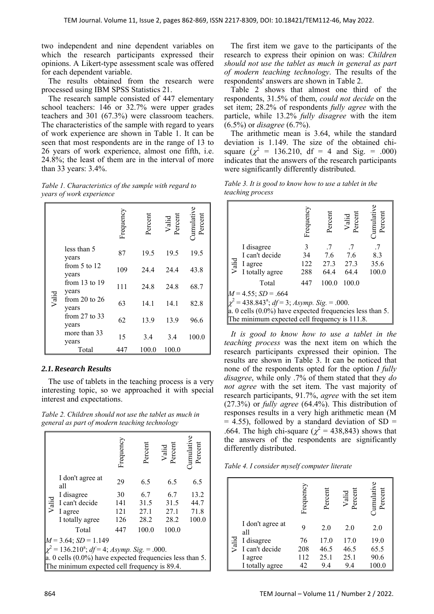two independent and nine dependent variables on which the research participants expressed their opinions. A Likert-type assessment scale was offered for each dependent variable.

The results obtained from the research were processed using IBM SPSS Statistics 21.

The research sample consisted of 447 elementary school teachers: 146 or 32.7% were upper grades teachers and 301 (67.3%) were classroom teachers. The characteristics of the sample with regard to years of work experience are shown in Table 1. It can be seen that most respondents are in the range of 13 to 26 years of work experience, almost one fifth, i.e. 24.8%; the least of them are in the interval of more than 33 years: 3.4%.

*Table 1. Characteristics of the sample with regard to years of work experience* 

|       |                            | Frequency | Percent | Valid<br>Percent | umulative<br>Percent |
|-------|----------------------------|-----------|---------|------------------|----------------------|
|       | less than 5<br>years       | 87        | 19.5    | 19.5             | 19.5                 |
|       | from $5$ to $12$<br>years  | 109       | 24.4    | 24.4             | 43.8                 |
|       | from $13$ to $19$<br>years | 111       | 24.8    | 24.8             | 68.7                 |
| Valid | from 20 to $26$<br>years   | 63        | 14.1    | 14.1             | 82.8                 |
|       | from $27$ to $33$<br>years | 62        | 13.9    | 13.9             | 96.6                 |
|       | more than 33<br>years      | 15        | 3.4     | 3.4              | 100.0                |
|       | Total                      | 447       | 100.0   | 100.0            |                      |

## *2.1.Research Results*

The use of tablets in the teaching process is a very interesting topic, so we approached it with special interest and expectations.

*Table 2. Children should not use the tablet as much in general as part of modern teaching technology* 

|                                                                                                        | Frequency | Percent | Valid<br>Percent | Cumulativ<br>Percent |  |  |
|--------------------------------------------------------------------------------------------------------|-----------|---------|------------------|----------------------|--|--|
| I don't agree at<br>all                                                                                | 29        | 6.5     | 6.5              | 6.5                  |  |  |
| I disagree                                                                                             | 30        | 6.7     | 6.7              | 13.2                 |  |  |
| $\begin{array}{c}\n\stackrel{\text{def}}{=} \text{I can't decide} \\ \geq \text{I agree}\n\end{array}$ | 141       | 31.5    | 31.5             | 44.7                 |  |  |
| I agree                                                                                                | 121       | 27.1    | 27.1             | 71.8                 |  |  |
| I totally agree                                                                                        | 126       | 28.2    | 28.2             | 100.0                |  |  |
| Total                                                                                                  | 447       | 100.0   | 100.0            |                      |  |  |
| $M = 3.64$ ; $SD = 1.149$                                                                              |           |         |                  |                      |  |  |
| $\chi^2$ = 136.210 <sup>a</sup> ; <i>df</i> = 4; <i>Asymp. Sig.</i> = .000.                            |           |         |                  |                      |  |  |
| a. 0 cells $(0.0\%)$ have expected frequencies less than 5.                                            |           |         |                  |                      |  |  |
| The minimum expected cell frequency is 89.4.                                                           |           |         |                  |                      |  |  |

 The first item we gave to the participants of the research to express their opinion on was: *Children should not use the tablet as much in general as part of modern teaching technology*. The results of the respondents' answers are shown in Table 2.

Table 2 shows that almost one third of the respondents, 31.5% of them, *could not decide* on the set item; 28.2% of respondents *fully agree* with the particle, while 13.2% *fully disagree* with the item (6.5%) or *disagree* (6.7%).

The arithmetic mean is 3.64, while the standard deviation is 1.149. The size of the obtained chisquare  $(\chi^2 = 136.210, df = 4$  and Sig. = .000) indicates that the answers of the research participants were significantly differently distributed.

| Table 3. It is good to know how to use a tablet in the |  |
|--------------------------------------------------------|--|
| teaching process                                       |  |

|                                                                 |                                                  | Frequency | Percent   | Valid<br>Percent | Cumulati<br>Percent |  |  |
|-----------------------------------------------------------------|--------------------------------------------------|-----------|-----------|------------------|---------------------|--|--|
|                                                                 | I disagree                                       | 3         | $\cdot$ 7 | .7               | .7                  |  |  |
|                                                                 | I can't decide                                   | 34        | 7.6       | 7.6              | 8.3                 |  |  |
| Valid                                                           | I agree                                          | 122       |           | 27.3 27.3        | 35.6                |  |  |
|                                                                 | I totally agree                                  | 288       | 64.4      | 64.4             | 100.0               |  |  |
|                                                                 | Total                                            | 447       | 100.0     | 100.0            |                     |  |  |
| $M = 4.55$ ; $SD = .664$                                        |                                                  |           |           |                  |                     |  |  |
| $\chi^2$ = 438.843 <sup>a</sup> ; $df$ = 3; Asymp. Sig. = .000. |                                                  |           |           |                  |                     |  |  |
| $\ $ a. 0 cells (0.0%) have expected frequencies less than 5.   |                                                  |           |           |                  |                     |  |  |
|                                                                 | The minimum expected cell frequency is $111.8$ . |           |           |                  |                     |  |  |

*It is good to know how to use a tablet in the teaching process* was the next item on which the research participants expressed their opinion. The results are shown in Table 3. It can be noticed that none of the respondents opted for the option *I fully disagree*, while only .7% of them stated that they *do not agree* with the set item. The vast majority of research participants, 91.7%, *agree* with the set item (27.3%) or *fully agree* (64.4%). This distribution of responses results in a very high arithmetic mean (M  $= 4.55$ ), followed by a standard deviation of SD  $=$ .664. The high chi-square ( $\chi^2$  = 438,843) shows that the answers of the respondents are significantly differently distributed.

*Table 4. I consider myself computer literate* 

|       |                         | Frequency | Percent | Valid<br>Percent | <b>Cumulativ</b><br>Percent |
|-------|-------------------------|-----------|---------|------------------|-----------------------------|
|       | I don't agree at<br>all |           | 2.0     | 2.0              | 2.0                         |
| Valid | I disagree              | 76        | 17.0    | 17.0             | 19.0                        |
|       | I can't decide          | 208       | 46.5    | 46.5             | 65.5                        |
|       | I agree                 | 112       | 25.1    | 25.1             | 90.6                        |
|       | I totally agree         | 42        | 9.4     | 9.4              | 100.0                       |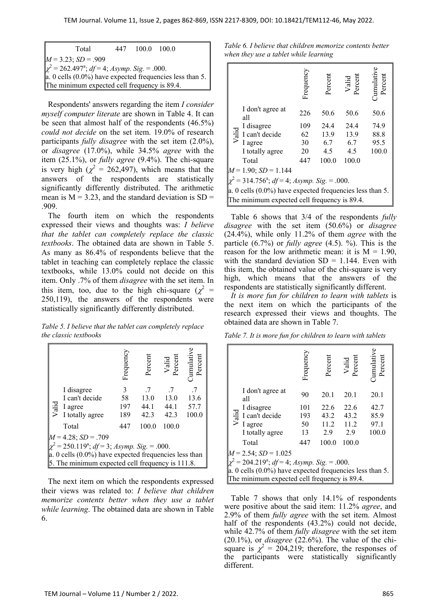| Total                                                                               |  | 447 100.0 100.0 |  |  |  |  |  |
|-------------------------------------------------------------------------------------|--|-----------------|--|--|--|--|--|
| $M = 3.23$ ; $SD = .909$                                                            |  |                 |  |  |  |  |  |
| $\chi^2$ = 262.497 <sup>a</sup> ; <i>df</i> = 4; <i>Asymp</i> . <i>Sig.</i> = .000. |  |                 |  |  |  |  |  |
| $\ $ a. 0 cells (0.0%) have expected frequencies less than 5.                       |  |                 |  |  |  |  |  |
| The minimum expected cell frequency is 89.4.                                        |  |                 |  |  |  |  |  |

Respondents' answers regarding the item *I consider myself computer literate* are shown in Table 4. It can be seen that almost half of the respondents (46.5%) *could not decide* on the set item. 19.0% of research participants *fully disagree* with the set item (2.0%), or *disagree* (17.0%), while 34.5% *agree* with the item (25.1%), or *fully agree* (9.4%). The chi-square is very high ( $\chi^2 = 262,497$ ), which means that the answers of the respondents are statistically significantly differently distributed. The arithmetic mean is  $M = 3.23$ , and the standard deviation is SD = .909.

The fourth item on which the respondents expressed their views and thoughts was: *I believe that the tablet can completely replace the classic textbooks*. The obtained data are shown in Table 5. As many as 86.4% of respondents believe that the tablet in teaching can completely replace the classic textbooks, while 13.0% could not decide on this item. Only .7% of them *disagree* with the set item. In this item, too, due to the high chi-square ( $\chi^2$  = 250,119), the answers of the respondents were statistically significantly differently distributed.

*Table 5. I believe that the tablet can completely replace the classic textbooks* 

|                                                               |                                                  | Frequency | Percent | Valid<br>Percent | umulati<br>Percent |  |  |
|---------------------------------------------------------------|--------------------------------------------------|-----------|---------|------------------|--------------------|--|--|
|                                                               | I disagree                                       | 3         | .7      | .7               | -7                 |  |  |
|                                                               | I can't decide                                   | 58        | 13.0    | 13.0             | 13.6               |  |  |
|                                                               | $\frac{12}{5}$ I agree                           | 197       | 44.1    | 44.1             | 57.7               |  |  |
|                                                               | I totally agree                                  | 189       | 42.3    | 42.3             | 100.0              |  |  |
|                                                               | Total                                            | 447       | 100.0   | 100.0            |                    |  |  |
| $M = 4.28$ ; $SD = .709$                                      |                                                  |           |         |                  |                    |  |  |
| $\chi^2$ = 250.119 <sup>a</sup> ; df = 3; Asymp. Sig. = .000. |                                                  |           |         |                  |                    |  |  |
| $\vert a. 0$ cells (0.0%) have expected frequencies less than |                                                  |           |         |                  |                    |  |  |
|                                                               | 5. The minimum expected cell frequency is 111.8. |           |         |                  |                    |  |  |

The next item on which the respondents expressed their views was related to: *I believe that children memorize contents better when they use a tablet while learning*. The obtained data are shown in Table 6.

*Table 6. I believe that children memorize contents better when they use a tablet while learning* 

|                                                                 |                                              | Frequency | Percent | Valid<br>Percent | Percent<br>mulatr |  |  |  |
|-----------------------------------------------------------------|----------------------------------------------|-----------|---------|------------------|-------------------|--|--|--|
|                                                                 | I don't agree at<br>all                      | 226       | 50.6    | 50.6             | 50.6              |  |  |  |
|                                                                 | I disagree                                   | 109       | 24.4    | 24.4             | 74.9              |  |  |  |
|                                                                 | $\frac{1}{\overline{6}}$ I can't decide      | 62        | 13.9    | 13.9             | 88.8              |  |  |  |
|                                                                 | I agree                                      | 30        | 6.7     | 6.7              | 95.5              |  |  |  |
|                                                                 | I totally agree                              | 20        | 4.5     | 4.5              | 100.0             |  |  |  |
|                                                                 | Total                                        | 447       | 100.0   | 100.0            |                   |  |  |  |
|                                                                 | $M = 1.90$ ; $SD = 1.144$                    |           |         |                  |                   |  |  |  |
| $\chi^2$ = 314.756 <sup>a</sup> ; $df$ = 4; Asymp. Sig. = .000. |                                              |           |         |                  |                   |  |  |  |
| a. 0 cells $(0.0\%)$ have expected frequencies less than 5.     |                                              |           |         |                  |                   |  |  |  |
|                                                                 | The minimum expected cell frequency is 89.4. |           |         |                  |                   |  |  |  |

Table 6 shows that 3/4 of the respondents *fully disagree* with the set item (50.6%) or *disagree* (24.4%), while only 11.2% of them *agree* with the particle (6.7%) or *fully agree* (4.5). %). This is the reason for the low arithmetic mean: it is  $M = 1.90$ , with the standard deviation  $SD = 1.144$ . Even with this item, the obtained value of the chi-square is very high, which means that the answers of the respondents are statistically significantly different.

*It is more fun for children to learn with tablets* is the next item on which the participants of the research expressed their views and thoughts. The obtained data are shown in Table 7.

*Table 7. It is more fun for children to learn with tablets* 

|                                                               |                                                             | Frequency | Percent | Valid<br>Percent | Cumulativ<br>Percent |  |  |  |
|---------------------------------------------------------------|-------------------------------------------------------------|-----------|---------|------------------|----------------------|--|--|--|
|                                                               | I don't agree at<br>all                                     | 90        | 20.1    | 20.1             | 20.1                 |  |  |  |
|                                                               | I disagree                                                  | 101       | 22.6    | 22.6             | 42.7                 |  |  |  |
|                                                               | $\frac{1}{\overline{6}}$ I can't decide                     | 193       | 43.2    | 43.2             | 85.9                 |  |  |  |
|                                                               | I agree                                                     | 50        | 11.2    | 11.2             | 97.1                 |  |  |  |
|                                                               | I totally agree                                             | 13        | 2.9     | 2.9              | 100.0                |  |  |  |
|                                                               | Total                                                       | 447       | 100.0   | 100.0            |                      |  |  |  |
|                                                               | $M = 2.54$ ; $SD = 1.025$                                   |           |         |                  |                      |  |  |  |
| $\chi^2$ = 204.219 <sup>a</sup> ; df = 4; Asymp. Sig. = .000. |                                                             |           |         |                  |                      |  |  |  |
|                                                               | a. 0 cells $(0.0\%)$ have expected frequencies less than 5. |           |         |                  |                      |  |  |  |
|                                                               | The minimum expected cell frequency is 89.4.                |           |         |                  |                      |  |  |  |

Table 7 shows that only 14.1% of respondents were positive about the said item: 11.2% *agree*, and 2.9% of them *fully agree* with the set item. Almost half of the respondents (43.2%) could not decide, while 42.7% of them *fully disagree* with the set item (20.1%), or *disagree* (22.6%). The value of the chisquare is  $\chi^2 = 204,219$ ; therefore, the responses of the participants were statistically significantly different.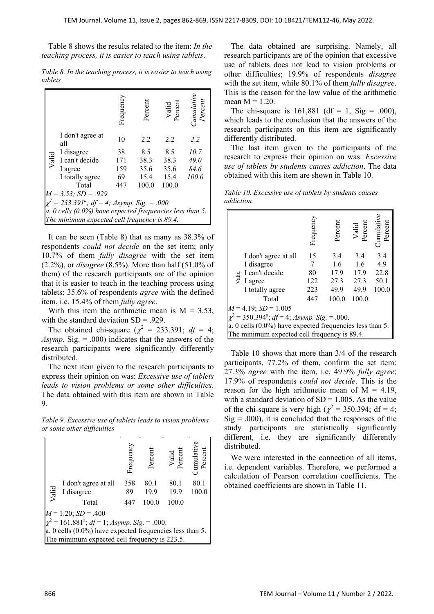Table 8 shows the results related to the item: *In the teaching process, it is easier to teach using tablets*.

|                                                            |                                              | Frequeno | Percent | Valid<br>Percent | <i><b>Cumulativ</b></i><br>Percent |  |  |  |
|------------------------------------------------------------|----------------------------------------------|----------|---------|------------------|------------------------------------|--|--|--|
|                                                            | I don't agree at<br>all                      | 10       | 2.2     | 2.2              | 2.2                                |  |  |  |
|                                                            | I disagree                                   | 38       | 8.5     | 8.5              | 10.7                               |  |  |  |
|                                                            | $\frac{1}{\sqrt{6}}$ I can't decide          | 171      | 38.3    | 38.3             | 49.0                               |  |  |  |
|                                                            | I agree                                      | 159      | 35.6    | 35.6             | 84.6                               |  |  |  |
|                                                            | I totally agree                              | 69       | 15.4    | 15.4             | 100.0                              |  |  |  |
|                                                            | Total                                        | 447      | 100.0   | 100.0            |                                    |  |  |  |
|                                                            | $M = 3.53$ ; $SD = .929$                     |          |         |                  |                                    |  |  |  |
| $\chi^2 = 233.391^a$ ; df = 4; Asymp. Sig. = .000.         |                                              |          |         |                  |                                    |  |  |  |
| $a. 0$ cells (0.0%) have expected frequencies less than 5. |                                              |          |         |                  |                                    |  |  |  |
|                                                            | The minimum expected cell frequency is 89.4. |          |         |                  |                                    |  |  |  |

*Table 8. In the teaching process, it is easier to teach using tablets* 

It can be seen (Table 8) that as many as 38.3% of respondents *could not decide* on the set item; only 10.7% of them *fully disagree* with the set item (2.2%), or *disagree* (8.5%). More than half (51.0% of them) of the research participants are of the opinion that it is easier to teach in the teaching process using tablets: 35.6% of respondents *agree* with the defined item, i.e. 15.4% of them *fully agree*.

With this item the arithmetic mean is  $M = 3.53$ , with the standard deviation  $SD = .929$ .

The obtained chi-square  $(\chi^2 = 233.391; df = 4;$ *Asymp*. Sig. = .000) indicates that the answers of the research participants were significantly differently distributed.

The next item given to the research participants to express their opinion on was: *Excessive use of tablets leads to vision problems or some other difficulties*. The data obtained with this item are shown in Table 9.

*Table 9. Excessive use of tablets leads to vision problems or some other difficulties* 

|                                                                                                                   |                                    | Frequency | Percent      | Valid<br>Percent | <b>Cumulative</b><br>Percent |  |
|-------------------------------------------------------------------------------------------------------------------|------------------------------------|-----------|--------------|------------------|------------------------------|--|
| Valid                                                                                                             | I don't agree at all<br>I disagree | 358<br>89 | 80.1<br>19.9 | 80.1<br>19.9     | 80.1<br>100.0                |  |
|                                                                                                                   | Total                              | 447       | 100.0        | 100.0            |                              |  |
| $M = 1.20$ ; $SD = .400$<br>$\chi^2$ = 161.881 <sup>a</sup> ; <i>df</i> = 1; <i>Asymp. Sig.</i> = .000.           |                                    |           |              |                  |                              |  |
| $\vert a. 0$ cells (0.0%) have expected frequencies less than 5.<br>The minimum expected cell frequency is 223.5. |                                    |           |              |                  |                              |  |
|                                                                                                                   |                                    |           |              |                  |                              |  |

The data obtained are surprising. Namely, all research participants are of the opinion that excessive use of tablets does not lead to vision problems or other difficulties; 19.9% of respondents *disagree* with the set item, while 80.1% of them *fully disagree*. This is the reason for the low value of the arithmetic mean  $M = 1.20$ .

The chi-square is  $161,881$  (df = 1, Sig = .000), which leads to the conclusion that the answers of the research participants on this item are significantly differently distributed.

The last item given to the participants of the research to express their opinion on was: *Excessive use of tablets by students causes addiction*. The data obtained with this item are shown in Table 10.

|           | Table 10. Excessive use of tablets by students causes |  |  |  |
|-----------|-------------------------------------------------------|--|--|--|
| addiction |                                                       |  |  |  |

|                                                                  |                      | Frequency | Percen | Valid<br>Percent | Percent<br>Cumulati |  |  |
|------------------------------------------------------------------|----------------------|-----------|--------|------------------|---------------------|--|--|
|                                                                  | I don't agree at all | 15        | 3.4    | 3.4              | 3.4                 |  |  |
|                                                                  | I disagree           |           | 1.6    | 1.6              | 4.9                 |  |  |
|                                                                  | I can't decide       | 80        | 17.9   | 17.9             | 22.8                |  |  |
| Valid                                                            | I agree              | 122       | 27.3   | 27.3             | 50.1                |  |  |
|                                                                  | I totally agree      | 223       | 49.9   | 49.9             | 100.0               |  |  |
|                                                                  | Total                | 447       | 100.0  | 100.0            |                     |  |  |
| $M = 4.19$ ; $SD = 1.005$                                        |                      |           |        |                  |                     |  |  |
| $\chi^2$ = 350.394 <sup>a</sup> ; $df$ = 4; Asymp. Sig. = .000.  |                      |           |        |                  |                     |  |  |
| $\vert a. 0$ cells (0.0%) have expected frequencies less than 5. |                      |           |        |                  |                     |  |  |
| The minimum expected cell frequency is 89.4.                     |                      |           |        |                  |                     |  |  |

Table 10 shows that more than 3/4 of the research participants, 77.2% of them, confirm the set item: 27.3% *agree* with the item, i.e. 49.9% *fully agree*; 17.9% of respondents *could not decide*. This is the reason for the high arithmetic mean of  $M = 4.19$ , with a standard deviation of  $SD = 1.005$ . As the value of the chi-square is very high ( $\chi^2$  = 350.394; df = 4;  $Sig = .000$ , it is concluded that the responses of the study participants are statistically significantly different, i.e. they are significantly differently distributed.

We were interested in the connection of all items, i.e. dependent variables. Therefore, we performed a calculation of Pearson correlation coefficients. The obtained coefficients are shown in Table 11.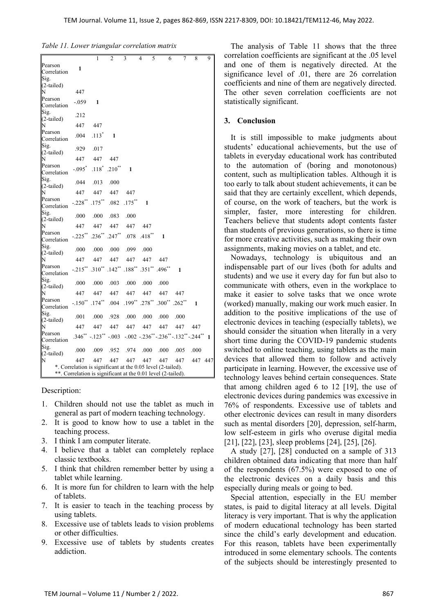| Table 11. Lower triangular correlation matrix |  |  |  |  |  |  |
|-----------------------------------------------|--|--|--|--|--|--|
|-----------------------------------------------|--|--|--|--|--|--|

| Pearson<br>Correlation                                                                                                      | 1                 | 1          | $\overline{c}$ | 3                 | 4<br>5    | 6                              | 7                                                    | 8    | 9       |
|-----------------------------------------------------------------------------------------------------------------------------|-------------------|------------|----------------|-------------------|-----------|--------------------------------|------------------------------------------------------|------|---------|
| Sig.<br>$(2-tailed)$<br>N                                                                                                   | 447               |            |                |                   |           |                                |                                                      |      |         |
| Pearson<br>Correlation                                                                                                      | $-.059$           | 1          |                |                   |           |                                |                                                      |      |         |
| Sig.<br>(2-tailed)                                                                                                          | .212              |            |                |                   |           |                                |                                                      |      |         |
| N                                                                                                                           | 447               | 447        |                |                   |           |                                |                                                      |      |         |
| Pearson<br>Correlation                                                                                                      | .004              | $.113*$    | 1              |                   |           |                                |                                                      |      |         |
| Sig.<br>(2-tailed)                                                                                                          | .929              | .017       |                |                   |           |                                |                                                      |      |         |
| N                                                                                                                           | 447               | 447        | 447            |                   |           |                                |                                                      |      |         |
| Pearson<br>Correlation                                                                                                      | $-.095"$          | $.118^*$   | $.210**$       | 1                 |           |                                |                                                      |      |         |
| Sig.<br>(2-tailed)                                                                                                          | .044              | .013       | .000           |                   |           |                                |                                                      |      |         |
| N                                                                                                                           | 447               | 447        | 447            | 447               |           |                                |                                                      |      |         |
| Pearson<br>Correlation                                                                                                      | $-.228$ $\degree$ | $.175***$  | .082           | $.175***$         | 1         |                                |                                                      |      |         |
| Sig.<br>(2-tailed)                                                                                                          | .000              | .000       | .083           | .000              |           |                                |                                                      |      |         |
| N                                                                                                                           | 447               | 447        | 447            | 447               | 447       |                                |                                                      |      |         |
| Pearson<br>Correlation                                                                                                      | $-.225***$        | $.236***$  | $.247***$      | .078              | $.418***$ | 1                              |                                                      |      |         |
| Sig.<br>(2-tailed)                                                                                                          | .000              | .000       | .000           | .099              | .000      |                                |                                                      |      |         |
| N                                                                                                                           | 447               | 447        | 447            | 447               | 447       | 447                            |                                                      |      |         |
| Pearson<br>Correlation                                                                                                      | $-.215***$        | $.310**$   | $.142**$       | $.188^{\ast\ast}$ | $.351$ ** | $.496**$                       | 1                                                    |      |         |
| Sig.<br>$(2-tailed)$                                                                                                        | .000              | .000       | .003           | .000              | .000      | .000                           |                                                      |      |         |
| N                                                                                                                           | 447               | 447        | 447            | 447               | 447       | 447                            | 447                                                  |      |         |
| Pearson<br>Correlation                                                                                                      | $-.150^{**}$      | $.174***$  | .004           | $.199**$          | $.278***$ | $.300^{**}$ .262 <sup>**</sup> |                                                      | 1    |         |
| Sig.<br>(2-tailed)                                                                                                          | .001              | .000       | .928           | .000              | .000      | .000                           | .000                                                 |      |         |
| N                                                                                                                           | 447               | 447        | 447            | 447               | 447       | 447                            | 447                                                  | 447  |         |
| Pearson<br>Correlation                                                                                                      | $.346**$          | $-.123$ ** | $-.003$        |                   |           |                                | $-0.002$ $-0.236$ * $-0.236$ * $-0.132$ * $-0.244$ * |      | 1       |
| Sig.<br>(2-tailed)                                                                                                          | .000              | .009       | .952           | .974              | .000      | .000                           | .005                                                 | .000 |         |
| N                                                                                                                           | 447               | 447        | 447            | 447               | 447       | 447                            | 447                                                  |      | 447 447 |
| *. Correlation is significant at the 0.05 level (2-tailed).<br>**. Correlation is significant at the 0.01 level (2-tailed). |                   |            |                |                   |           |                                |                                                      |      |         |

Description:

- 1. Children should not use the tablet as much in general as part of modern teaching technology.
- 2. It is good to know how to use a tablet in the teaching process.
- 3. I think I am computer literate.
- 4. I believe that a tablet can completely replace classic textbooks.
- 5. I think that children remember better by using a tablet while learning.
- 6. It is more fun for children to learn with the help of tablets.
- 7. It is easier to teach in the teaching process by using tablets.
- 8. Excessive use of tablets leads to vision problems or other difficulties.
- 9. Excessive use of tablets by students creates addiction.

The analysis of Table 11 shows that the three correlation coefficients are significant at the .05 level and one of them is negatively directed. At the significance level of .01, there are 26 correlation coefficients and nine of them are negatively directed. The other seven correlation coefficients are not statistically significant.

### **3. Conclusion**

It is still impossible to make judgments about students' educational achievements, but the use of tablets in everyday educational work has contributed to the automation of (boring and monotonous) content, such as multiplication tables. Although it is too early to talk about student achievements, it can be said that they are certainly excellent, which depends, of course, on the work of teachers, but the work is simpler, faster, more interesting for children. Teachers believe that students adopt contents faster than students of previous generations, so there is time for more creative activities, such as making their own assignments, making movies on a tablet, and etc.

Nowadays, technology is ubiquitous and an indispensable part of our lives (both for adults and students) and we use it every day for fun but also to communicate with others, even in the workplace to make it easier to solve tasks that we once wrote (worked) manually, making our work much easier. In addition to the positive implications of the use of electronic devices in teaching (especially tablets), we should consider the situation when literally in a very short time during the COVID-19 pandemic students switched to online teaching, using tablets as the main devices that allowed them to follow and actively participate in learning. However, the excessive use of technology leaves behind certain consequences. State that among children aged 6 to 12 [19], the use of electronic devices during pandemics was excessive in 76% of respondents. Excessive use of tablets and other electronic devices can result in many disorders such as mental disorders [20], depression, self-harm, low self-esteem in girls who overuse digital media [21], [22], [23], sleep problems [24], [25], [26].

A study [27], [28] conducted on a sample of 313 children obtained data indicating that more than half of the respondents (67.5%) were exposed to one of the electronic devices on a daily basis and this especially during meals or going to bed.

Special attention, especially in the EU member states, is paid to digital literacy at all levels. Digital literacy is very important. That is why the application of modern educational technology has been started since the child's early development and education. For this reason, tablets have been experimentally introduced in some elementary schools. The contents of the subjects should be interestingly presented to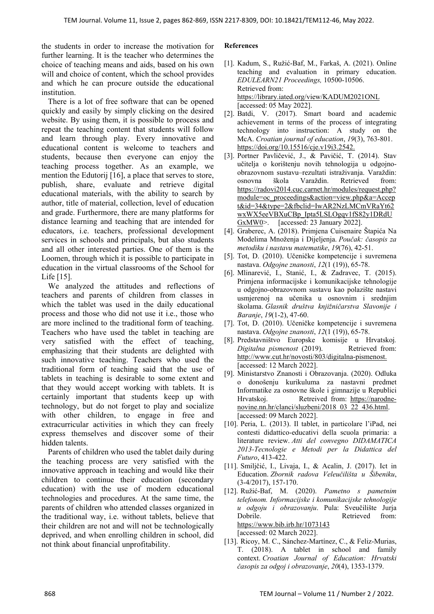the students in order to increase the motivation for further learning. It is the teacher who determines the choice of teaching means and aids, based on his own will and choice of content, which the school provides and which he can procure outside the educational institution.

There is a lot of free software that can be opened quickly and easily by simply clicking on the desired website. By using them, it is possible to process and repeat the teaching content that students will follow and learn through play. Every innovative and educational content is welcome to teachers and students, because then everyone can enjoy the teaching process together. As an example, we mention the Edutorij [16], a place that serves to store, publish, share, evaluate and retrieve digital educational materials, with the ability to search by author, title of material, collection, level of education and grade. Furthermore, there are many platforms for distance learning and teaching that are intended for educators, i.e. teachers, professional development services in schools and principals, but also students and all other interested parties. One of them is the Loomen, through which it is possible to participate in education in the virtual classrooms of the School for Life [15].

We analyzed the attitudes and reflections of teachers and parents of children from classes in which the tablet was used in the daily educational process and those who did not use it i.e., those who are more inclined to the traditional form of teaching. Teachers who have used the tablet in teaching are very satisfied with the effect of teaching, emphasizing that their students are delighted with such innovative teaching. Teachers who used the traditional form of teaching said that the use of tablets in teaching is desirable to some extent and that they would accept working with tablets. It is certainly important that students keep up with technology, but do not forget to play and socialize with other children, to engage in free and extracurricular activities in which they can freely express themselves and discover some of their hidden talents.

Parents of children who used the tablet daily during the teaching process are very satisfied with the innovative approach in teaching and would like their children to continue their education (secondary education) with the use of modern educational technologies and procedures. At the same time, the parents of children who attended classes organized in the traditional way, i.e. without tablets, believe that their children are not and will not be technologically deprived, and when enrolling children in school, did not think about financial unprofitability.

#### **References**

- [1]. Kadum, S., Ružić-Baf, M., Farkaš, A. (2021). Online teaching and evaluation in primary education. *EDULEARN21 Proceedings,* 10500-10506. Retrieved from: https://library.iated.org/view/KADUM2021ONL [accessed: 05 May 2022].
- [2]. Batdi, V. (2017). Smart board and academic achievement in terms of the process of integrating technology into instruction: A study on the McA. *Croatian journal of education*, *19*(3), 763-801. https://doi.org/10.15516/cje.v19i3.2542.
- [3]. Portner Pavličević, J., & Pavičić, T. (2014). Stav učitelja o korištenju novih tehnologija u odgojnoobrazovnom sustavu–rezultati istraživanja. Varaždin: osnovna škola Varaždin. Retrieved from: https://radovi2014.cuc.carnet.hr/modules/request.php? module=oc\_proceedings&action=view.php&a=Accep t&id=34&type=2&fbclid=IwAR2NzLMCmVRaYt62 wxWX5eeVBXuCBp\_Ipta5LSLOgqv1fS82y1DRdU GxMW0>. [accessed: 23 January 2022].
- [4]. Graberec, A. (2018). Primjena Cuisenaire Štapića Na Modelima Množenja i Dijeljenja. *Poučak: časopis za metodiku i nastavu matematike*, *19*(76), 42-51.
- [5]. Tot, D. (2010). Učeničke kompetencije i suvremena nastava. *Odgojne znanosti*, *12*(1 (19)), 65-78.
- [6]. Mlinarević, I., Stanić, I., & Zadravec, T. (2015). Primjena informacijske i komunikacijske tehnologije u odgojno-obrazovnom sustavu kao polazište nastavi usmjerenoj na učenika u osnovnim i srednjim školama. *Glasnik društva knjižničarstva Slavonije i Baranje*, *19*(1-2), 47-60.
- [7]. Tot, D. (2010). Učeničke kompetencije i suvremena nastava. *Odgojne znanosti*, *12*(1 (19)), 65-78.
- [8]. Predstavništvo Europske komisije u Hrvatskoj*. Digitalna pismenost* (2019). Retrieved from: http://www.cut.hr/novosti/803/digitalna-pismenost. [accessed: 12 March 2022].
- [9]. Ministarstvo Znanosti i Obrazovanja. (2020). Odluka o donošenju kurikuluma za nastavni predmet Informatike za osnovne škole i gimnazije u Republici Hrvatskoj. Retreived from: https://narodnenovine.nn.hr/clanci/sluzbeni/2018\_03\_22\_436.html. [accessed: 09 March 2022].
- [10]. Peria, L. (2013). Il tablet, in particolare l'iPad, nei contesti didattico-educativi della scuola primaria: a literature review. *Atti del convegno DIDAMATICA 2013-Tecnologie e Metodi per la Didattica del Futuro*, 413-422.
- [11]. Smiljčić, I., Livaja, I., & Acalin, J. (2017). Ict in Education. *Zbornik radova Veleučilišta u Šibeniku*, (3-4/2017), 157-170.
- [12]. Ružić-Baf, M. (2020). *Pametno s pametnim telefonom. Informacijske i komunikacijske tehnologije u odgoju i obrazovanju*. Pula: Sveučilište Jurja Dobrile. Retrieved from: https://www.bib.irb.hr/1073143 [accessed: 02 March 2022].
- [13]. Ricoy, M. C., Sánchez-Martínez, C., & Feliz-Murias, T. (2018). A tablet in school and family context. *Croatian Journal of Education: Hrvatski časopis za odgoj i obrazovanje*, *20*(4), 1353-1379.